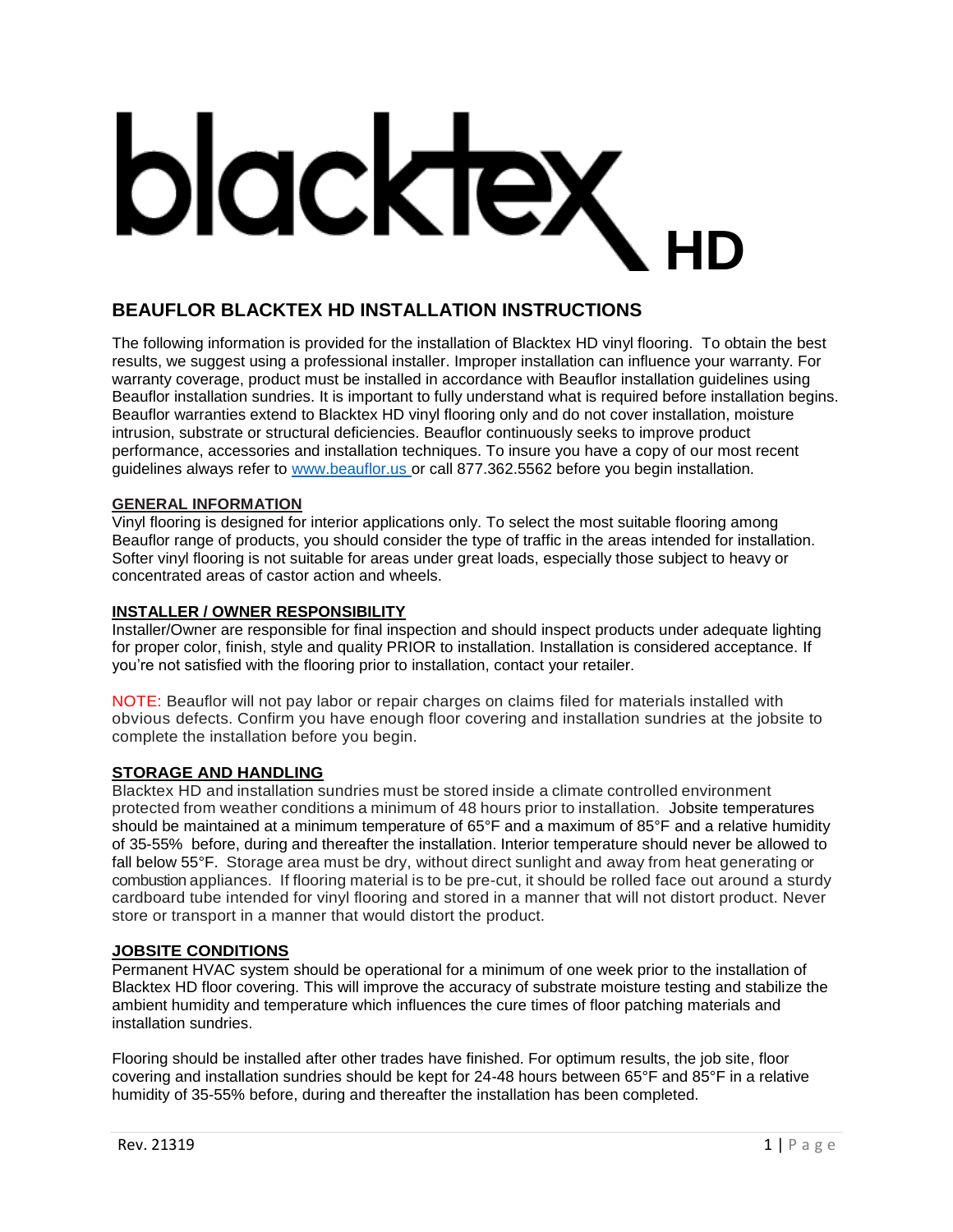# blacktex **HD**

# **BEAUFLOR BLACKTEX HD INSTALLATION INSTRUCTIONS**

The following information is provided for the installation of Blacktex HD vinyl flooring. To obtain the best results, we suggest using a professional installer. Improper installation can influence your warranty. For warranty coverage, product must be installed in accordance with Beauflor installation guidelines using Beauflor installation sundries. It is important to fully understand what is required before installation begins. Beauflor warranties extend to Blacktex HD vinyl flooring only and do not cover installation, moisture intrusion, substrate or structural deficiencies. Beauflor continuously seeks to improve product performance, accessories and installation techniques. To insure you have a copy of our most recent guidelines always refer to www.beauflor.us or call 877.362.5562 before you begin installation.

# **GENERAL INFORMATION**

Vinyl flooring is designed for interior applications only. To select the most suitable flooring among Beauflor range of products, you should consider the type of traffic in the areas intended for installation. Softer vinyl flooring is not suitable for areas under great loads, especially those subject to heavy or concentrated areas of castor action and wheels.

# **INSTALLER / OWNER RESPONSIBILITY**

Installer/Owner are responsible for final inspection and should inspect products under adequate lighting for proper color, finish, style and quality PRIOR to installation. Installation is considered acceptance. If you're not satisfied with the flooring prior to installation, contact your retailer.

NOTE: Beauflor will not pay labor or repair charges on claims filed for materials installed with obvious defects. Confirm you have enough floor covering and installation sundries at the jobsite to complete the installation before you begin.

#### **STORAGE AND HANDLING**

Blacktex HD and installation sundries must be stored inside a climate controlled environment protected from weather conditions a minimum of 48 hours prior to installation. Jobsite temperatures should be maintained at a minimum temperature of 65°F and a maximum of 85°F and a relative humidity of 35-55% before, during and thereafter the installation. Interior temperature should never be allowed to fall below 55°F. Storage area must be dry, without direct sunlight and away from heat generating or combustion appliances. If flooring material is to be pre-cut, it should be rolled face out around a sturdy cardboard tube intended for vinyl flooring and stored in a manner that will not distort product. Never store or transport in a manner that would distort the product.

#### **JOBSITE CONDITIONS**

Permanent HVAC system should be operational for a minimum of one week prior to the installation of Blacktex HD floor covering. This will improve the accuracy of substrate moisture testing and stabilize the ambient humidity and temperature which influences the cure times of floor patching materials and installation sundries.

Flooring should be installed after other trades have finished. For optimum results, the job site, floor covering and installation sundries should be kept for 24-48 hours between 65°F and 85°F in a relative humidity of 35-55% before, during and thereafter the installation has been completed.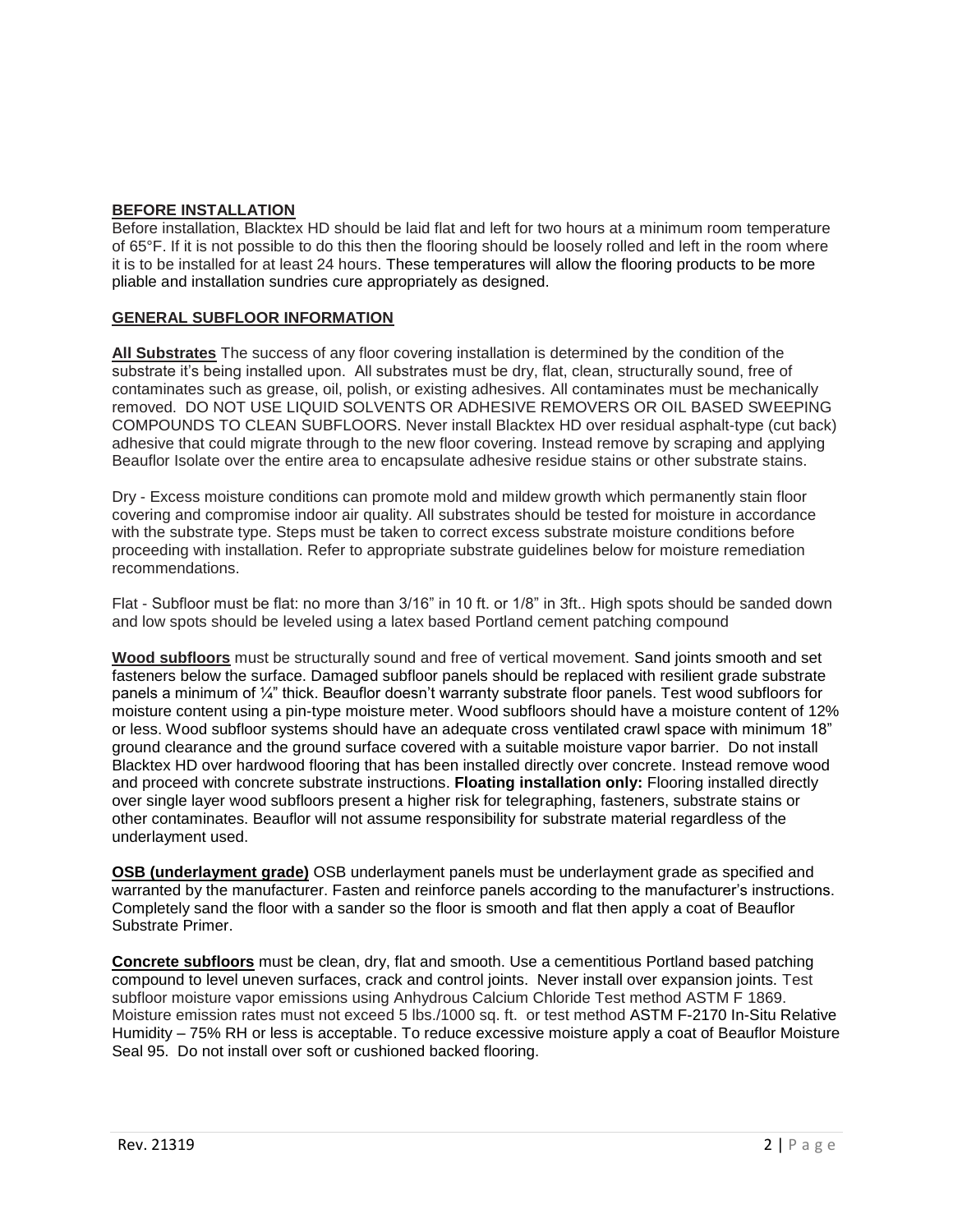# **BEFORE INSTALLATION**

Before installation, Blacktex HD should be laid flat and left for two hours at a minimum room temperature of 65°F. If it is not possible to do this then the flooring should be loosely rolled and left in the room where it is to be installed for at least 24 hours. These temperatures will allow the flooring products to be more pliable and installation sundries cure appropriately as designed.

# **GENERAL SUBFLOOR INFORMATION**

**All Substrates** The success of any floor covering installation is determined by the condition of the substrate it's being installed upon. All substrates must be dry, flat, clean, structurally sound, free of contaminates such as grease, oil, polish, or existing adhesives. All contaminates must be mechanically removed. DO NOT USE LIQUID SOLVENTS OR ADHESIVE REMOVERS OR OIL BASED SWEEPING COMPOUNDS TO CLEAN SUBFLOORS. Never install Blacktex HD over residual asphalt-type (cut back) adhesive that could migrate through to the new floor covering. Instead remove by scraping and applying Beauflor Isolate over the entire area to encapsulate adhesive residue stains or other substrate stains.

Dry - Excess moisture conditions can promote mold and mildew growth which permanently stain floor covering and compromise indoor air quality. All substrates should be tested for moisture in accordance with the substrate type. Steps must be taken to correct excess substrate moisture conditions before proceeding with installation. Refer to appropriate substrate guidelines below for moisture remediation recommendations.

Flat - Subfloor must be flat: no more than 3/16" in 10 ft. or 1/8" in 3ft.. High spots should be sanded down and low spots should be leveled using a latex based Portland cement patching compound

**Wood subfloors** must be structurally sound and free of vertical movement. Sand joints smooth and set fasteners below the surface. Damaged subfloor panels should be replaced with resilient grade substrate panels a minimum of ¼" thick. Beauflor doesn't warranty substrate floor panels. Test wood subfloors for moisture content using a pin-type moisture meter. Wood subfloors should have a moisture content of 12% or less. Wood subfloor systems should have an adequate cross ventilated crawl space with minimum 18" ground clearance and the ground surface covered with a suitable moisture vapor barrier. Do not install Blacktex HD over hardwood flooring that has been installed directly over concrete. Instead remove wood and proceed with concrete substrate instructions. **Floating installation only:** Flooring installed directly over single layer wood subfloors present a higher risk for telegraphing, fasteners, substrate stains or other contaminates. Beauflor will not assume responsibility for substrate material regardless of the underlayment used.

**OSB (underlayment grade)** OSB underlayment panels must be underlayment grade as specified and warranted by the manufacturer. Fasten and reinforce panels according to the manufacturer's instructions. Completely sand the floor with a sander so the floor is smooth and flat then apply a coat of Beauflor Substrate Primer.

**Concrete subfloors** must be clean, dry, flat and smooth. Use a cementitious Portland based patching compound to level uneven surfaces, crack and control joints. Never install over expansion joints. Test subfloor moisture vapor emissions using Anhydrous Calcium Chloride Test method ASTM F 1869. Moisture emission rates must not exceed 5 lbs./1000 sq. ft. or test method ASTM F-2170 In-Situ Relative Humidity – 75% RH or less is acceptable. To reduce excessive moisture apply a coat of Beauflor Moisture Seal 95. Do not install over soft or cushioned backed flooring.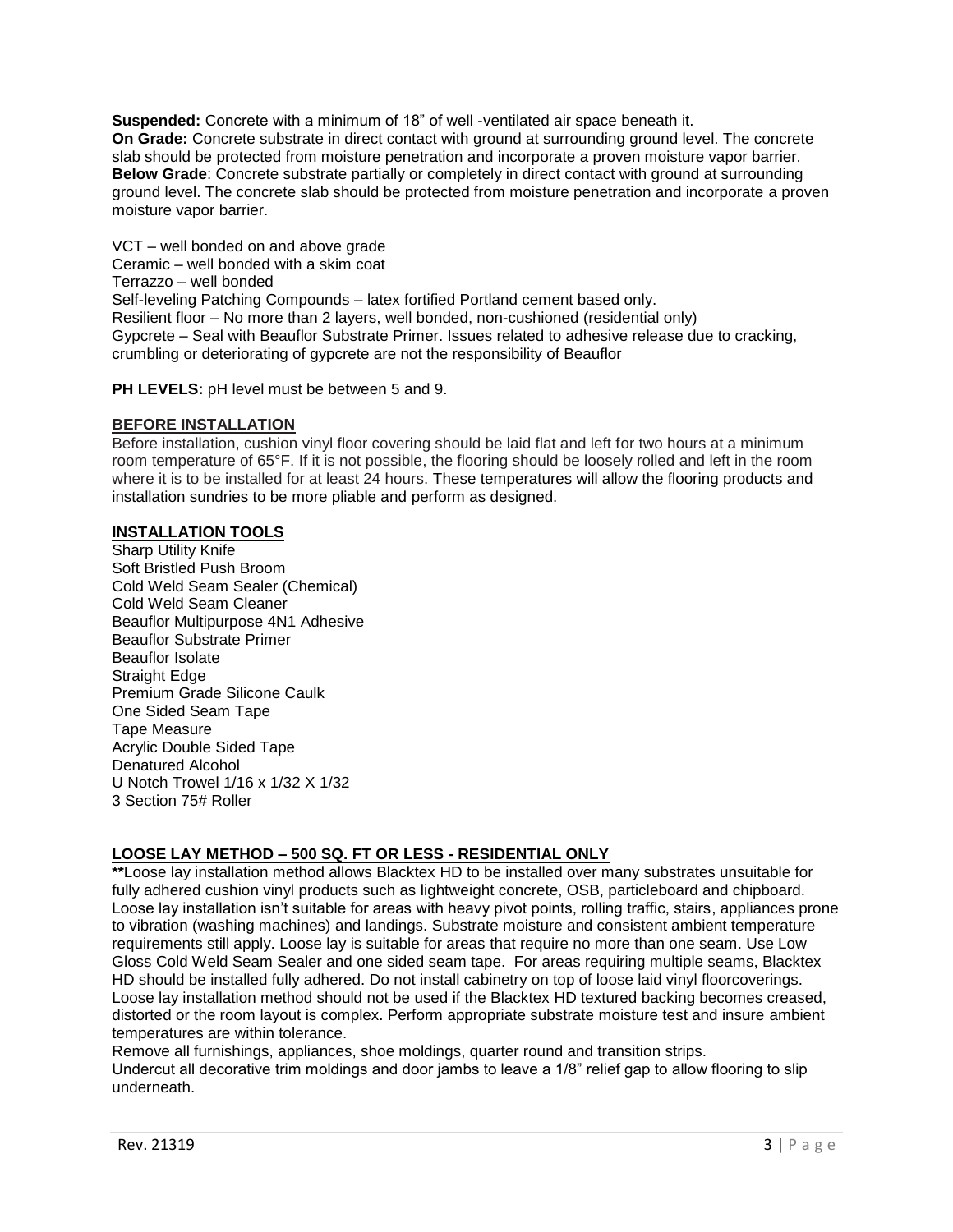**Suspended:** Concrete with a minimum of 18" of well -ventilated air space beneath it. **On Grade:** Concrete substrate in direct contact with ground at surrounding ground level. The concrete slab should be protected from moisture penetration and incorporate a proven moisture vapor barrier. **Below Grade**: Concrete substrate partially or completely in direct contact with ground at surrounding ground level. The concrete slab should be protected from moisture penetration and incorporate a proven moisture vapor barrier.

VCT – well bonded on and above grade Ceramic – well bonded with a skim coat Terrazzo – well bonded Self-leveling Patching Compounds – latex fortified Portland cement based only. Resilient floor – No more than 2 layers, well bonded, non-cushioned (residential only) Gypcrete – Seal with Beauflor Substrate Primer. Issues related to adhesive release due to cracking, crumbling or deteriorating of gypcrete are not the responsibility of Beauflor

**PH LEVELS:** pH level must be between 5 and 9.

# **BEFORE INSTALLATION**

Before installation, cushion vinyl floor covering should be laid flat and left for two hours at a minimum room temperature of 65°F. If it is not possible, the flooring should be loosely rolled and left in the room where it is to be installed for at least 24 hours. These temperatures will allow the flooring products and installation sundries to be more pliable and perform as designed.

# **INSTALLATION TOOLS**

**Sharp Utility Knife** Soft Bristled Push Broom Cold Weld Seam Sealer (Chemical) Cold Weld Seam Cleaner Beauflor Multipurpose 4N1 Adhesive Beauflor Substrate Primer Beauflor Isolate Straight Edge Premium Grade Silicone Caulk One Sided Seam Tape Tape Measure Acrylic Double Sided Tape Denatured Alcohol U Notch Trowel 1/16 x 1/32 X 1/32 3 Section 75# Roller

# **LOOSE LAY METHOD – 500 SQ. FT OR LESS - RESIDENTIAL ONLY**

**\*\***Loose lay installation method allows Blacktex HD to be installed over many substrates unsuitable for fully adhered cushion vinyl products such as lightweight concrete, OSB, particleboard and chipboard. Loose lay installation isn't suitable for areas with heavy pivot points, rolling traffic, stairs, appliances prone to vibration (washing machines) and landings. Substrate moisture and consistent ambient temperature requirements still apply. Loose lay is suitable for areas that require no more than one seam. Use Low Gloss Cold Weld Seam Sealer and one sided seam tape. For areas requiring multiple seams, Blacktex HD should be installed fully adhered. Do not install cabinetry on top of loose laid vinyl floorcoverings. Loose lay installation method should not be used if the Blacktex HD textured backing becomes creased, distorted or the room layout is complex. Perform appropriate substrate moisture test and insure ambient temperatures are within tolerance.

Remove all furnishings, appliances, shoe moldings, quarter round and transition strips. Undercut all decorative trim moldings and door jambs to leave a 1/8" relief gap to allow flooring to slip underneath.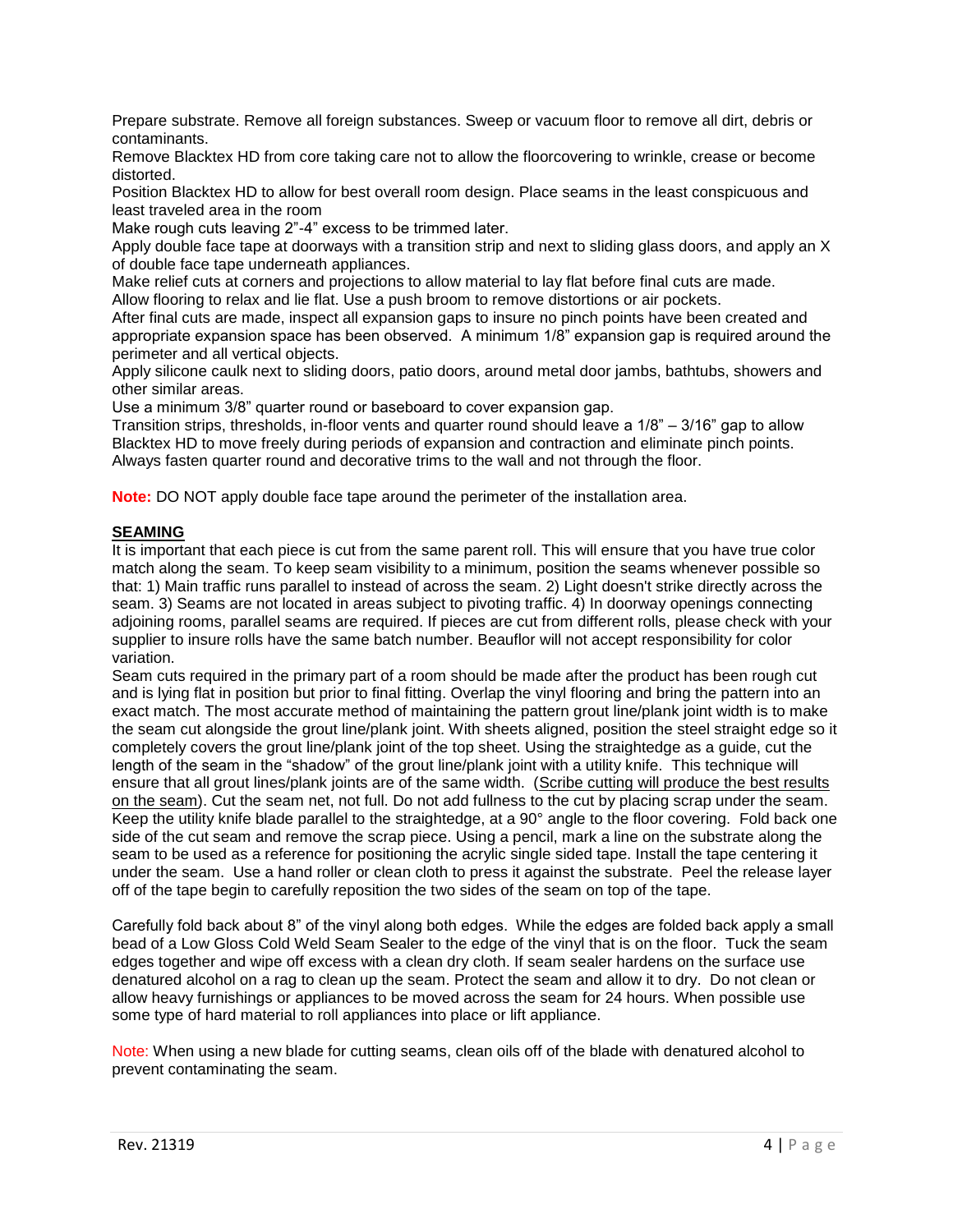Prepare substrate. Remove all foreign substances. Sweep or vacuum floor to remove all dirt, debris or contaminants.

Remove Blacktex HD from core taking care not to allow the floorcovering to wrinkle, crease or become distorted.

Position Blacktex HD to allow for best overall room design. Place seams in the least conspicuous and least traveled area in the room

Make rough cuts leaving 2"-4" excess to be trimmed later.

Apply double face tape at doorways with a transition strip and next to sliding glass doors, and apply an X of double face tape underneath appliances.

Make relief cuts at corners and projections to allow material to lay flat before final cuts are made. Allow flooring to relax and lie flat. Use a push broom to remove distortions or air pockets.

After final cuts are made, inspect all expansion gaps to insure no pinch points have been created and appropriate expansion space has been observed. A minimum 1/8" expansion gap is required around the perimeter and all vertical objects.

Apply silicone caulk next to sliding doors, patio doors, around metal door jambs, bathtubs, showers and other similar areas.

Use a minimum 3/8" quarter round or baseboard to cover expansion gap.

Transition strips, thresholds, in-floor vents and quarter round should leave a 1/8" – 3/16" gap to allow Blacktex HD to move freely during periods of expansion and contraction and eliminate pinch points. Always fasten quarter round and decorative trims to the wall and not through the floor.

**Note:** DO NOT apply double face tape around the perimeter of the installation area.

# **SEAMING**

It is important that each piece is cut from the same parent roll. This will ensure that you have true color match along the seam. To keep seam visibility to a minimum, position the seams whenever possible so that: 1) Main traffic runs parallel to instead of across the seam. 2) Light doesn't strike directly across the seam. 3) Seams are not located in areas subject to pivoting traffic. 4) In doorway openings connecting adjoining rooms, parallel seams are required. If pieces are cut from different rolls, please check with your supplier to insure rolls have the same batch number. Beauflor will not accept responsibility for color variation.

Seam cuts required in the primary part of a room should be made after the product has been rough cut and is lying flat in position but prior to final fitting. Overlap the vinyl flooring and bring the pattern into an exact match. The most accurate method of maintaining the pattern grout line/plank joint width is to make the seam cut alongside the grout line/plank joint. With sheets aligned, position the steel straight edge so it completely covers the grout line/plank joint of the top sheet. Using the straightedge as a guide, cut the length of the seam in the "shadow" of the grout line/plank joint with a utility knife. This technique will ensure that all grout lines/plank joints are of the same width. (Scribe cutting will produce the best results on the seam). Cut the seam net, not full. Do not add fullness to the cut by placing scrap under the seam. Keep the utility knife blade parallel to the straightedge, at a 90° angle to the floor covering. Fold back one side of the cut seam and remove the scrap piece. Using a pencil, mark a line on the substrate along the seam to be used as a reference for positioning the acrylic single sided tape. Install the tape centering it under the seam. Use a hand roller or clean cloth to press it against the substrate. Peel the release layer off of the tape begin to carefully reposition the two sides of the seam on top of the tape.

Carefully fold back about 8" of the vinyl along both edges. While the edges are folded back apply a small bead of a Low Gloss Cold Weld Seam Sealer to the edge of the vinyl that is on the floor. Tuck the seam edges together and wipe off excess with a clean dry cloth. If seam sealer hardens on the surface use denatured alcohol on a rag to clean up the seam. Protect the seam and allow it to dry. Do not clean or allow heavy furnishings or appliances to be moved across the seam for 24 hours. When possible use some type of hard material to roll appliances into place or lift appliance.

Note: When using a new blade for cutting seams, clean oils off of the blade with denatured alcohol to prevent contaminating the seam.